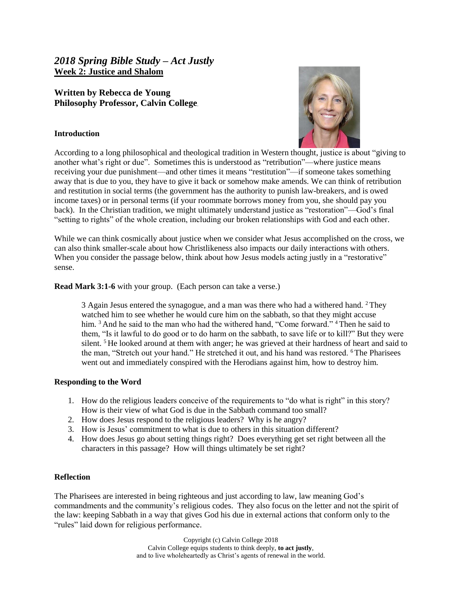## *2018 Spring Bible Study – Act Justly* **Week 2: Justice and Shalom**

# **Written by Rebecca de Young Philosophy Professor, Calvin College**

### **Introduction**



According to a long philosophical and theological tradition in Western thought, justice is about "giving to another what's right or due". Sometimes this is understood as "retribution"—where justice means receiving your due punishment—and other times it means "restitution"—if someone takes something away that is due to you, they have to give it back or somehow make amends. We can think of retribution and restitution in social terms (the government has the authority to punish law-breakers, and is owed income taxes) or in personal terms (if your roommate borrows money from you, she should pay you back). In the Christian tradition, we might ultimately understand justice as "restoration"—God's final "setting to rights" of the whole creation, including our broken relationships with God and each other.

While we can think cosmically about justice when we consider what Jesus accomplished on the cross, we can also think smaller-scale about how Christlikeness also impacts our daily interactions with others. When you consider the passage below, think about how Jesus models acting justly in a "restorative" sense.

#### **Read Mark 3:1-6** with your group. (Each person can take a verse.)

3 Again Jesus entered the synagogue, and a man was there who had a withered hand. <sup>2</sup>They watched him to see whether he would cure him on the sabbath, so that they might accuse him. <sup>3</sup> And he said to the man who had the withered hand, "Come forward." <sup>4</sup> Then he said to them, "Is it lawful to do good or to do harm on the sabbath, to save life or to kill?" But they were silent.  $5$  He looked around at them with anger; he was grieved at their hardness of heart and said to the man, "Stretch out your hand." He stretched it out, and his hand was restored. <sup>6</sup>The Pharisees went out and immediately conspired with the Herodians against him, how to destroy him.

## **Responding to the Word**

- 1. How do the religious leaders conceive of the requirements to "do what is right" in this story? How is their view of what God is due in the Sabbath command too small?
- 2. How does Jesus respond to the religious leaders? Why is he angry?
- 3. How is Jesus' commitment to what is due to others in this situation different?
- 4. How does Jesus go about setting things right? Does everything get set right between all the characters in this passage? How will things ultimately be set right?

#### **Reflection**

The Pharisees are interested in being righteous and just according to law, law meaning God's commandments and the community's religious codes. They also focus on the letter and not the spirit of the law: keeping Sabbath in a way that gives God his due in external actions that conform only to the "rules" laid down for religious performance.